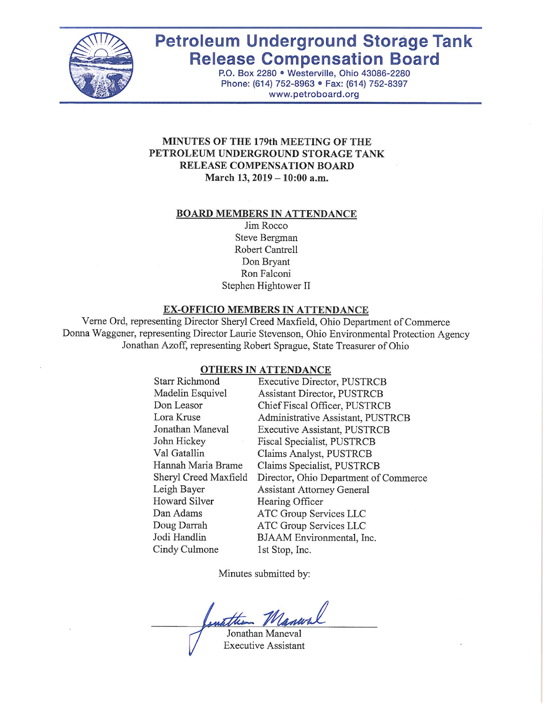

# **Petroleum Underground Storage Tank Release Compensation Board**

P.O. Box 2280 · Westerville, Ohio 43086-2280 Phone: (614) 752-8963 · Fax: (614) 752-8397 www.petroboard.org

# MINUTES OF THE 179th MEETING OF THE PETROLEUM UNDERGROUND STORAGE TANK RELEASE COMPENSATION BOARD March 13, 2019 - 10:00 a.m.

#### **BOARD MEMBERS IN ATTENDANCE**

Jim Rocco Steve Bergman Robert Cantrell Don Bryant Ron Falconi Stephen Hightower II

#### **EX-OFFICIO MEMBERS IN ATTENDANCE**

Verne Ord, representing Director Sheryl Creed Maxfield, Ohio Department of Commerce Donna Waggener, representing Director Laurie Stevenson, Ohio Environmental Protection Agency Jonathan Azoff, representing Robert Sprague, State Treasurer of Ohio

#### **OTHERS IN ATTENDANCE**

| <b>Starr Richmond</b> | <b>Executive Director, PUSTRCB</b>    |
|-----------------------|---------------------------------------|
| Madelin Esquivel      | Assistant Director, PUSTRCB           |
| Don Leasor            | Chief Fiscal Officer, PUSTRCB         |
| Lora Kruse            | Administrative Assistant, PUSTRCB     |
| Jonathan Maneval      | Executive Assistant, PUSTRCB          |
| John Hickey           | Fiscal Specialist, PUSTRCB            |
| Val Gatallin          | Claims Analyst, PUSTRCB               |
| Hannah Maria Brame    | Claims Specialist, PUSTRCB            |
| Sheryl Creed Maxfield | Director, Ohio Department of Commerce |
| Leigh Bayer           | <b>Assistant Attorney General</b>     |
| Howard Silver         | Hearing Officer                       |
| Dan Adams             | ATC Group Services LLC                |
| Doug Darrah           | ATC Group Services LLC                |
| Jodi Handlin          | BJAAM Environmental, Inc.             |
| Cindy Culmone         | 1st Stop, Inc.                        |
|                       |                                       |

Minutes submitted by:

Jonathan Maneval

**Executive Assistant**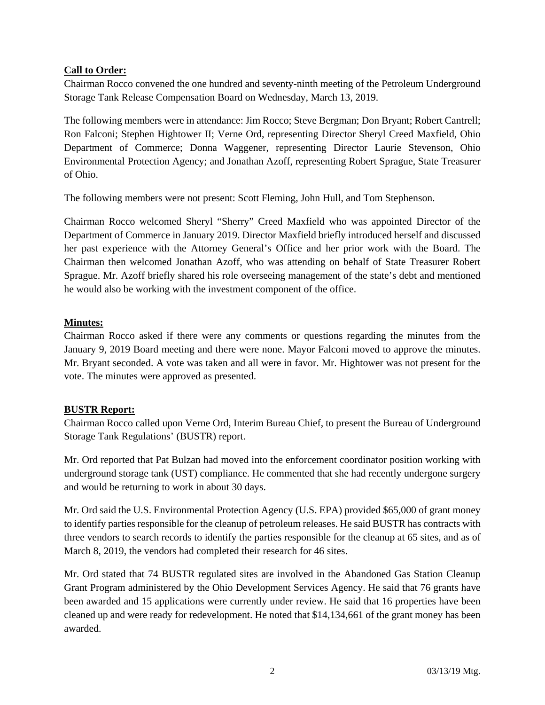# **Call to Order:**

Chairman Rocco convened the one hundred and seventy-ninth meeting of the Petroleum Underground Storage Tank Release Compensation Board on Wednesday, March 13, 2019.

The following members were in attendance: Jim Rocco; Steve Bergman; Don Bryant; Robert Cantrell; Ron Falconi; Stephen Hightower II; Verne Ord, representing Director Sheryl Creed Maxfield, Ohio Department of Commerce; Donna Waggener, representing Director Laurie Stevenson, Ohio Environmental Protection Agency; and Jonathan Azoff, representing Robert Sprague, State Treasurer of Ohio.

The following members were not present: Scott Fleming, John Hull, and Tom Stephenson.

Chairman Rocco welcomed Sheryl "Sherry" Creed Maxfield who was appointed Director of the Department of Commerce in January 2019. Director Maxfield briefly introduced herself and discussed her past experience with the Attorney General's Office and her prior work with the Board. The Chairman then welcomed Jonathan Azoff, who was attending on behalf of State Treasurer Robert Sprague. Mr. Azoff briefly shared his role overseeing management of the state's debt and mentioned he would also be working with the investment component of the office.

# **Minutes:**

Chairman Rocco asked if there were any comments or questions regarding the minutes from the January 9, 2019 Board meeting and there were none. Mayor Falconi moved to approve the minutes. Mr. Bryant seconded. A vote was taken and all were in favor. Mr. Hightower was not present for the vote. The minutes were approved as presented.

#### **BUSTR Report:**

Chairman Rocco called upon Verne Ord, Interim Bureau Chief, to present the Bureau of Underground Storage Tank Regulations' (BUSTR) report.

Mr. Ord reported that Pat Bulzan had moved into the enforcement coordinator position working with underground storage tank (UST) compliance. He commented that she had recently undergone surgery and would be returning to work in about 30 days.

Mr. Ord said the U.S. Environmental Protection Agency (U.S. EPA) provided \$65,000 of grant money to identify parties responsible for the cleanup of petroleum releases. He said BUSTR has contracts with three vendors to search records to identify the parties responsible for the cleanup at 65 sites, and as of March 8, 2019, the vendors had completed their research for 46 sites.

Mr. Ord stated that 74 BUSTR regulated sites are involved in the Abandoned Gas Station Cleanup Grant Program administered by the Ohio Development Services Agency. He said that 76 grants have been awarded and 15 applications were currently under review. He said that 16 properties have been cleaned up and were ready for redevelopment. He noted that \$14,134,661 of the grant money has been awarded.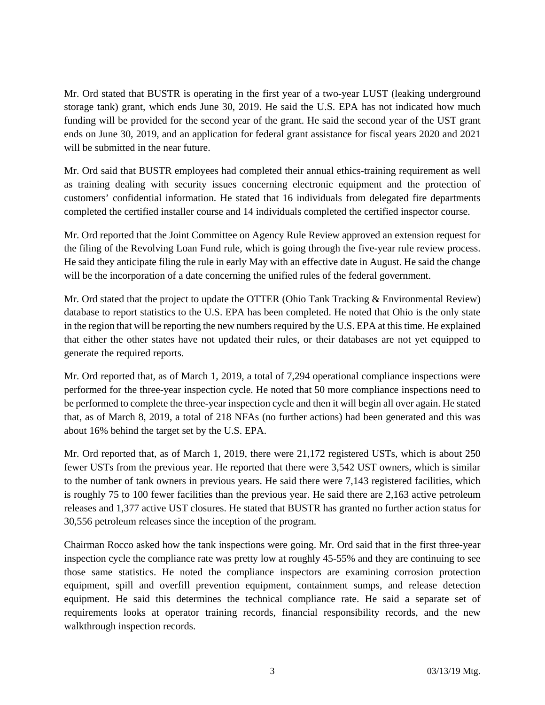Mr. Ord stated that BUSTR is operating in the first year of a two-year LUST (leaking underground storage tank) grant, which ends June 30, 2019. He said the U.S. EPA has not indicated how much funding will be provided for the second year of the grant. He said the second year of the UST grant ends on June 30, 2019, and an application for federal grant assistance for fiscal years 2020 and 2021 will be submitted in the near future.

Mr. Ord said that BUSTR employees had completed their annual ethics-training requirement as well as training dealing with security issues concerning electronic equipment and the protection of customers' confidential information. He stated that 16 individuals from delegated fire departments completed the certified installer course and 14 individuals completed the certified inspector course.

Mr. Ord reported that the Joint Committee on Agency Rule Review approved an extension request for the filing of the Revolving Loan Fund rule, which is going through the five-year rule review process. He said they anticipate filing the rule in early May with an effective date in August. He said the change will be the incorporation of a date concerning the unified rules of the federal government.

Mr. Ord stated that the project to update the OTTER (Ohio Tank Tracking & Environmental Review) database to report statistics to the U.S. EPA has been completed. He noted that Ohio is the only state in the region that will be reporting the new numbers required by the U.S. EPA at this time. He explained that either the other states have not updated their rules, or their databases are not yet equipped to generate the required reports.

Mr. Ord reported that, as of March 1, 2019, a total of 7,294 operational compliance inspections were performed for the three-year inspection cycle. He noted that 50 more compliance inspections need to be performed to complete the three-year inspection cycle and then it will begin all over again. He stated that, as of March 8, 2019, a total of 218 NFAs (no further actions) had been generated and this was about 16% behind the target set by the U.S. EPA.

Mr. Ord reported that, as of March 1, 2019, there were 21,172 registered USTs, which is about 250 fewer USTs from the previous year. He reported that there were 3,542 UST owners, which is similar to the number of tank owners in previous years. He said there were 7,143 registered facilities, which is roughly 75 to 100 fewer facilities than the previous year. He said there are 2,163 active petroleum releases and 1,377 active UST closures. He stated that BUSTR has granted no further action status for 30,556 petroleum releases since the inception of the program.

Chairman Rocco asked how the tank inspections were going. Mr. Ord said that in the first three-year inspection cycle the compliance rate was pretty low at roughly 45-55% and they are continuing to see those same statistics. He noted the compliance inspectors are examining corrosion protection equipment, spill and overfill prevention equipment, containment sumps, and release detection equipment. He said this determines the technical compliance rate. He said a separate set of requirements looks at operator training records, financial responsibility records, and the new walkthrough inspection records.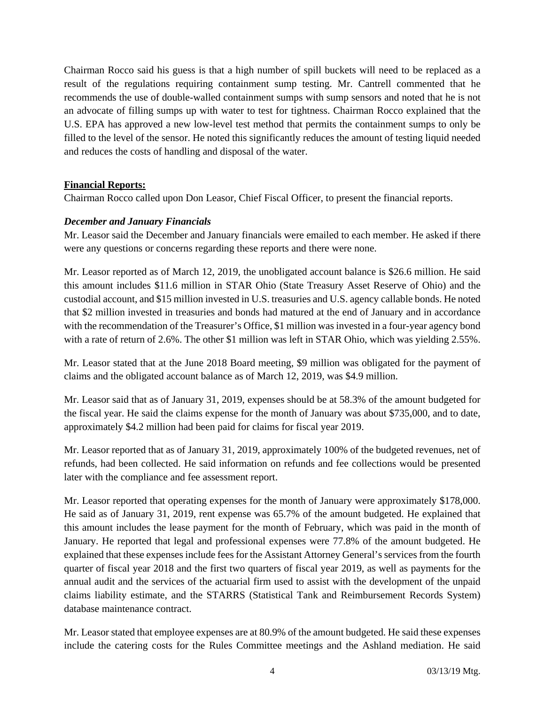Chairman Rocco said his guess is that a high number of spill buckets will need to be replaced as a result of the regulations requiring containment sump testing. Mr. Cantrell commented that he recommends the use of double-walled containment sumps with sump sensors and noted that he is not an advocate of filling sumps up with water to test for tightness. Chairman Rocco explained that the U.S. EPA has approved a new low-level test method that permits the containment sumps to only be filled to the level of the sensor. He noted this significantly reduces the amount of testing liquid needed and reduces the costs of handling and disposal of the water.

#### **Financial Reports:**

Chairman Rocco called upon Don Leasor, Chief Fiscal Officer, to present the financial reports.

# *December and January Financials*

Mr. Leasor said the December and January financials were emailed to each member. He asked if there were any questions or concerns regarding these reports and there were none.

Mr. Leasor reported as of March 12, 2019, the unobligated account balance is \$26.6 million. He said this amount includes \$11.6 million in STAR Ohio (State Treasury Asset Reserve of Ohio) and the custodial account, and \$15 million invested in U.S. treasuries and U.S. agency callable bonds. He noted that \$2 million invested in treasuries and bonds had matured at the end of January and in accordance with the recommendation of the Treasurer's Office, \$1 million was invested in a four-year agency bond with a rate of return of 2.6%. The other \$1 million was left in STAR Ohio, which was yielding 2.55%.

Mr. Leasor stated that at the June 2018 Board meeting, \$9 million was obligated for the payment of claims and the obligated account balance as of March 12, 2019, was \$4.9 million.

Mr. Leasor said that as of January 31, 2019, expenses should be at 58.3% of the amount budgeted for the fiscal year. He said the claims expense for the month of January was about \$735,000, and to date, approximately \$4.2 million had been paid for claims for fiscal year 2019.

Mr. Leasor reported that as of January 31, 2019, approximately 100% of the budgeted revenues, net of refunds, had been collected. He said information on refunds and fee collections would be presented later with the compliance and fee assessment report.

Mr. Leasor reported that operating expenses for the month of January were approximately \$178,000. He said as of January 31, 2019, rent expense was 65.7% of the amount budgeted. He explained that this amount includes the lease payment for the month of February, which was paid in the month of January. He reported that legal and professional expenses were 77.8% of the amount budgeted. He explained that these expenses include fees for the Assistant Attorney General's services from the fourth quarter of fiscal year 2018 and the first two quarters of fiscal year 2019, as well as payments for the annual audit and the services of the actuarial firm used to assist with the development of the unpaid claims liability estimate, and the STARRS (Statistical Tank and Reimbursement Records System) database maintenance contract.

Mr. Leasor stated that employee expenses are at 80.9% of the amount budgeted. He said these expenses include the catering costs for the Rules Committee meetings and the Ashland mediation. He said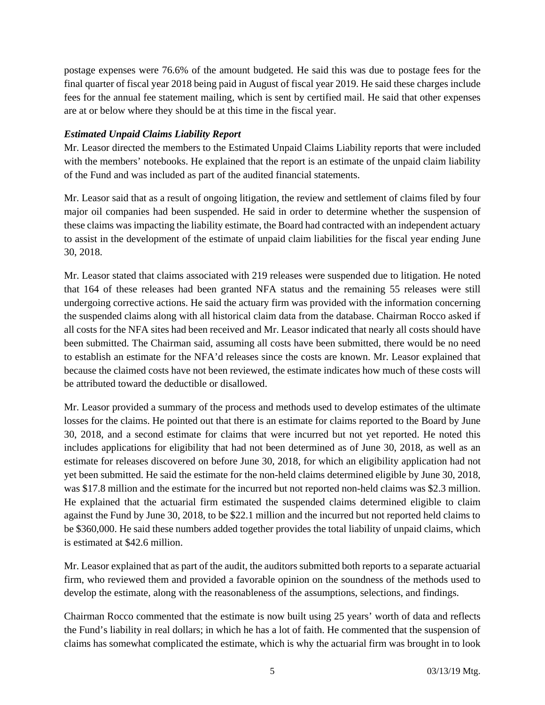postage expenses were 76.6% of the amount budgeted. He said this was due to postage fees for the final quarter of fiscal year 2018 being paid in August of fiscal year 2019. He said these charges include fees for the annual fee statement mailing, which is sent by certified mail. He said that other expenses are at or below where they should be at this time in the fiscal year.

# *Estimated Unpaid Claims Liability Report*

Mr. Leasor directed the members to the Estimated Unpaid Claims Liability reports that were included with the members' notebooks. He explained that the report is an estimate of the unpaid claim liability of the Fund and was included as part of the audited financial statements.

Mr. Leasor said that as a result of ongoing litigation, the review and settlement of claims filed by four major oil companies had been suspended. He said in order to determine whether the suspension of these claims was impacting the liability estimate, the Board had contracted with an independent actuary to assist in the development of the estimate of unpaid claim liabilities for the fiscal year ending June 30, 2018.

Mr. Leasor stated that claims associated with 219 releases were suspended due to litigation. He noted that 164 of these releases had been granted NFA status and the remaining 55 releases were still undergoing corrective actions. He said the actuary firm was provided with the information concerning the suspended claims along with all historical claim data from the database. Chairman Rocco asked if all costs for the NFA sites had been received and Mr. Leasor indicated that nearly all costs should have been submitted. The Chairman said, assuming all costs have been submitted, there would be no need to establish an estimate for the NFA'd releases since the costs are known. Mr. Leasor explained that because the claimed costs have not been reviewed, the estimate indicates how much of these costs will be attributed toward the deductible or disallowed.

Mr. Leasor provided a summary of the process and methods used to develop estimates of the ultimate losses for the claims. He pointed out that there is an estimate for claims reported to the Board by June 30, 2018, and a second estimate for claims that were incurred but not yet reported. He noted this includes applications for eligibility that had not been determined as of June 30, 2018, as well as an estimate for releases discovered on before June 30, 2018, for which an eligibility application had not yet been submitted. He said the estimate for the non-held claims determined eligible by June 30, 2018, was \$17.8 million and the estimate for the incurred but not reported non-held claims was \$2.3 million. He explained that the actuarial firm estimated the suspended claims determined eligible to claim against the Fund by June 30, 2018, to be \$22.1 million and the incurred but not reported held claims to be \$360,000. He said these numbers added together provides the total liability of unpaid claims, which is estimated at \$42.6 million.

Mr. Leasor explained that as part of the audit, the auditors submitted both reports to a separate actuarial firm, who reviewed them and provided a favorable opinion on the soundness of the methods used to develop the estimate, along with the reasonableness of the assumptions, selections, and findings.

Chairman Rocco commented that the estimate is now built using 25 years' worth of data and reflects the Fund's liability in real dollars; in which he has a lot of faith. He commented that the suspension of claims has somewhat complicated the estimate, which is why the actuarial firm was brought in to look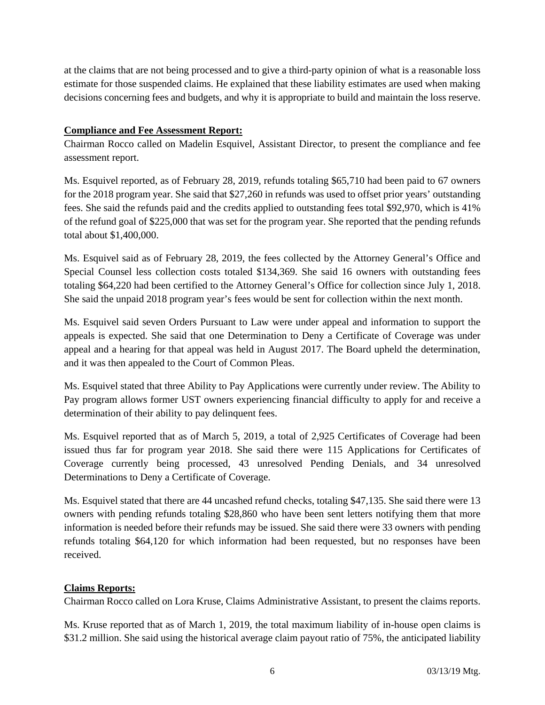at the claims that are not being processed and to give a third-party opinion of what is a reasonable loss estimate for those suspended claims. He explained that these liability estimates are used when making decisions concerning fees and budgets, and why it is appropriate to build and maintain the loss reserve.

# **Compliance and Fee Assessment Report:**

Chairman Rocco called on Madelin Esquivel, Assistant Director, to present the compliance and fee assessment report.

Ms. Esquivel reported, as of February 28, 2019, refunds totaling \$65,710 had been paid to 67 owners for the 2018 program year. She said that \$27,260 in refunds was used to offset prior years' outstanding fees. She said the refunds paid and the credits applied to outstanding fees total \$92,970, which is 41% of the refund goal of \$225,000 that was set for the program year. She reported that the pending refunds total about \$1,400,000.

Ms. Esquivel said as of February 28, 2019, the fees collected by the Attorney General's Office and Special Counsel less collection costs totaled \$134,369. She said 16 owners with outstanding fees totaling \$64,220 had been certified to the Attorney General's Office for collection since July 1, 2018. She said the unpaid 2018 program year's fees would be sent for collection within the next month.

Ms. Esquivel said seven Orders Pursuant to Law were under appeal and information to support the appeals is expected. She said that one Determination to Deny a Certificate of Coverage was under appeal and a hearing for that appeal was held in August 2017. The Board upheld the determination, and it was then appealed to the Court of Common Pleas.

Ms. Esquivel stated that three Ability to Pay Applications were currently under review. The Ability to Pay program allows former UST owners experiencing financial difficulty to apply for and receive a determination of their ability to pay delinquent fees.

Ms. Esquivel reported that as of March 5, 2019, a total of 2,925 Certificates of Coverage had been issued thus far for program year 2018. She said there were 115 Applications for Certificates of Coverage currently being processed, 43 unresolved Pending Denials, and 34 unresolved Determinations to Deny a Certificate of Coverage.

Ms. Esquivel stated that there are 44 uncashed refund checks, totaling \$47,135. She said there were 13 owners with pending refunds totaling \$28,860 who have been sent letters notifying them that more information is needed before their refunds may be issued. She said there were 33 owners with pending refunds totaling \$64,120 for which information had been requested, but no responses have been received.

#### **Claims Reports:**

Chairman Rocco called on Lora Kruse, Claims Administrative Assistant, to present the claims reports.

Ms. Kruse reported that as of March 1, 2019, the total maximum liability of in-house open claims is \$31.2 million. She said using the historical average claim payout ratio of 75%, the anticipated liability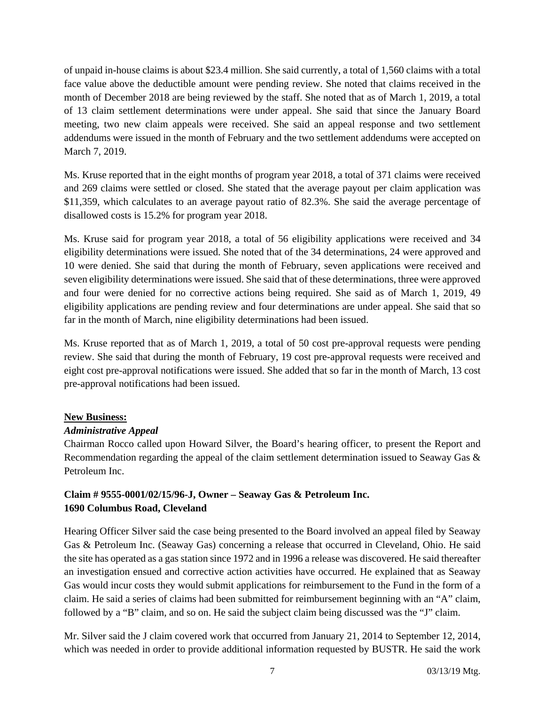of unpaid in-house claims is about \$23.4 million. She said currently, a total of 1,560 claims with a total face value above the deductible amount were pending review. She noted that claims received in the month of December 2018 are being reviewed by the staff. She noted that as of March 1, 2019, a total of 13 claim settlement determinations were under appeal. She said that since the January Board meeting, two new claim appeals were received. She said an appeal response and two settlement addendums were issued in the month of February and the two settlement addendums were accepted on March 7, 2019.

Ms. Kruse reported that in the eight months of program year 2018, a total of 371 claims were received and 269 claims were settled or closed. She stated that the average payout per claim application was \$11,359, which calculates to an average payout ratio of 82.3%. She said the average percentage of disallowed costs is 15.2% for program year 2018.

Ms. Kruse said for program year 2018, a total of 56 eligibility applications were received and 34 eligibility determinations were issued. She noted that of the 34 determinations, 24 were approved and 10 were denied. She said that during the month of February, seven applications were received and seven eligibility determinations were issued. She said that of these determinations, three were approved and four were denied for no corrective actions being required. She said as of March 1, 2019, 49 eligibility applications are pending review and four determinations are under appeal. She said that so far in the month of March, nine eligibility determinations had been issued.

Ms. Kruse reported that as of March 1, 2019, a total of 50 cost pre-approval requests were pending review. She said that during the month of February, 19 cost pre-approval requests were received and eight cost pre-approval notifications were issued. She added that so far in the month of March, 13 cost pre-approval notifications had been issued.

#### **New Business:**

#### *Administrative Appeal*

Chairman Rocco called upon Howard Silver, the Board's hearing officer, to present the Report and Recommendation regarding the appeal of the claim settlement determination issued to Seaway Gas & Petroleum Inc.

# **Claim # 9555-0001/02/15/96-J, Owner – Seaway Gas & Petroleum Inc. 1690 Columbus Road, Cleveland**

Hearing Officer Silver said the case being presented to the Board involved an appeal filed by Seaway Gas & Petroleum Inc. (Seaway Gas) concerning a release that occurred in Cleveland, Ohio. He said the site has operated as a gas station since 1972 and in 1996 a release was discovered. He said thereafter an investigation ensued and corrective action activities have occurred. He explained that as Seaway Gas would incur costs they would submit applications for reimbursement to the Fund in the form of a claim. He said a series of claims had been submitted for reimbursement beginning with an "A" claim, followed by a "B" claim, and so on. He said the subject claim being discussed was the "J" claim.

Mr. Silver said the J claim covered work that occurred from January 21, 2014 to September 12, 2014, which was needed in order to provide additional information requested by BUSTR. He said the work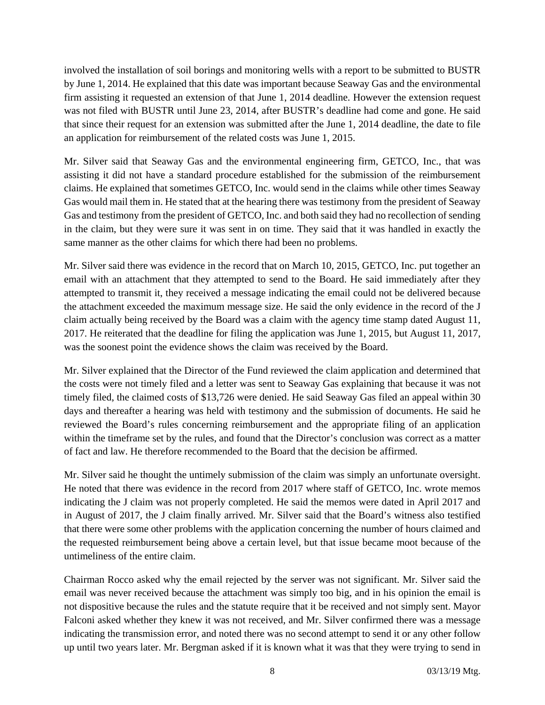involved the installation of soil borings and monitoring wells with a report to be submitted to BUSTR by June 1, 2014. He explained that this date was important because Seaway Gas and the environmental firm assisting it requested an extension of that June 1, 2014 deadline. However the extension request was not filed with BUSTR until June 23, 2014, after BUSTR's deadline had come and gone. He said that since their request for an extension was submitted after the June 1, 2014 deadline, the date to file an application for reimbursement of the related costs was June 1, 2015.

Mr. Silver said that Seaway Gas and the environmental engineering firm, GETCO, Inc., that was assisting it did not have a standard procedure established for the submission of the reimbursement claims. He explained that sometimes GETCO, Inc. would send in the claims while other times Seaway Gas would mail them in. He stated that at the hearing there was testimony from the president of Seaway Gas and testimony from the president of GETCO, Inc. and both said they had no recollection of sending in the claim, but they were sure it was sent in on time. They said that it was handled in exactly the same manner as the other claims for which there had been no problems.

Mr. Silver said there was evidence in the record that on March 10, 2015, GETCO, Inc. put together an email with an attachment that they attempted to send to the Board. He said immediately after they attempted to transmit it, they received a message indicating the email could not be delivered because the attachment exceeded the maximum message size. He said the only evidence in the record of the J claim actually being received by the Board was a claim with the agency time stamp dated August 11, 2017. He reiterated that the deadline for filing the application was June 1, 2015, but August 11, 2017, was the soonest point the evidence shows the claim was received by the Board.

Mr. Silver explained that the Director of the Fund reviewed the claim application and determined that the costs were not timely filed and a letter was sent to Seaway Gas explaining that because it was not timely filed, the claimed costs of \$13,726 were denied. He said Seaway Gas filed an appeal within 30 days and thereafter a hearing was held with testimony and the submission of documents. He said he reviewed the Board's rules concerning reimbursement and the appropriate filing of an application within the timeframe set by the rules, and found that the Director's conclusion was correct as a matter of fact and law. He therefore recommended to the Board that the decision be affirmed.

Mr. Silver said he thought the untimely submission of the claim was simply an unfortunate oversight. He noted that there was evidence in the record from 2017 where staff of GETCO, Inc. wrote memos indicating the J claim was not properly completed. He said the memos were dated in April 2017 and in August of 2017, the J claim finally arrived. Mr. Silver said that the Board's witness also testified that there were some other problems with the application concerning the number of hours claimed and the requested reimbursement being above a certain level, but that issue became moot because of the untimeliness of the entire claim.

Chairman Rocco asked why the email rejected by the server was not significant. Mr. Silver said the email was never received because the attachment was simply too big, and in his opinion the email is not dispositive because the rules and the statute require that it be received and not simply sent. Mayor Falconi asked whether they knew it was not received, and Mr. Silver confirmed there was a message indicating the transmission error, and noted there was no second attempt to send it or any other follow up until two years later. Mr. Bergman asked if it is known what it was that they were trying to send in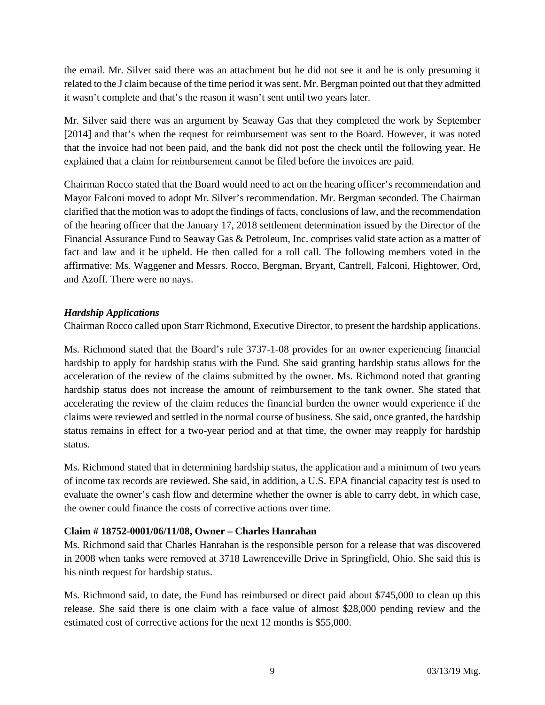the email. Mr. Silver said there was an attachment but he did not see it and he is only presuming it related to the J claim because of the time period it was sent. Mr. Bergman pointed out that they admitted it wasn't complete and that's the reason it wasn't sent until two years later.

Mr. Silver said there was an argument by Seaway Gas that they completed the work by September [2014] and that's when the request for reimbursement was sent to the Board. However, it was noted that the invoice had not been paid, and the bank did not post the check until the following year. He explained that a claim for reimbursement cannot be filed before the invoices are paid.

Chairman Rocco stated that the Board would need to act on the hearing officer's recommendation and Mayor Falconi moved to adopt Mr. Silver's recommendation. Mr. Bergman seconded. The Chairman clarified that the motion was to adopt the findings of facts, conclusions of law, and the recommendation of the hearing officer that the January 17, 2018 settlement determination issued by the Director of the Financial Assurance Fund to Seaway Gas & Petroleum, Inc. comprises valid state action as a matter of fact and law and it be upheld. He then called for a roll call. The following members voted in the affirmative: Ms. Waggener and Messrs. Rocco, Bergman, Bryant, Cantrell, Falconi, Hightower, Ord, and Azoff. There were no nays.

# *Hardship Applications*

Chairman Rocco called upon Starr Richmond, Executive Director, to present the hardship applications.

Ms. Richmond stated that the Board's rule 3737-1-08 provides for an owner experiencing financial hardship to apply for hardship status with the Fund. She said granting hardship status allows for the acceleration of the review of the claims submitted by the owner. Ms. Richmond noted that granting hardship status does not increase the amount of reimbursement to the tank owner. She stated that accelerating the review of the claim reduces the financial burden the owner would experience if the claims were reviewed and settled in the normal course of business. She said, once granted, the hardship status remains in effect for a two-year period and at that time, the owner may reapply for hardship status.

Ms. Richmond stated that in determining hardship status, the application and a minimum of two years of income tax records are reviewed. She said, in addition, a U.S. EPA financial capacity test is used to evaluate the owner's cash flow and determine whether the owner is able to carry debt, in which case, the owner could finance the costs of corrective actions over time.

#### **Claim # 18752-0001/06/11/08, Owner – Charles Hanrahan**

Ms. Richmond said that Charles Hanrahan is the responsible person for a release that was discovered in 2008 when tanks were removed at 3718 Lawrenceville Drive in Springfield, Ohio. She said this is his ninth request for hardship status.

Ms. Richmond said, to date, the Fund has reimbursed or direct paid about \$745,000 to clean up this release. She said there is one claim with a face value of almost \$28,000 pending review and the estimated cost of corrective actions for the next 12 months is \$55,000.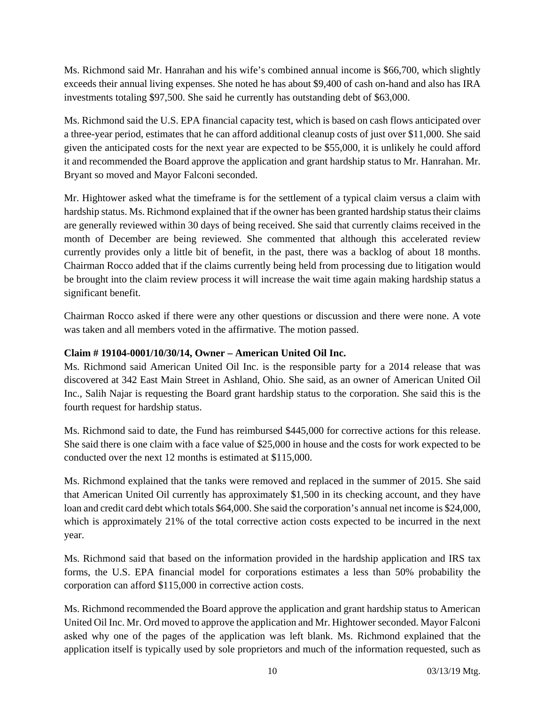Ms. Richmond said Mr. Hanrahan and his wife's combined annual income is \$66,700, which slightly exceeds their annual living expenses. She noted he has about \$9,400 of cash on-hand and also has IRA investments totaling \$97,500. She said he currently has outstanding debt of \$63,000.

Ms. Richmond said the U.S. EPA financial capacity test, which is based on cash flows anticipated over a three-year period, estimates that he can afford additional cleanup costs of just over \$11,000. She said given the anticipated costs for the next year are expected to be \$55,000, it is unlikely he could afford it and recommended the Board approve the application and grant hardship status to Mr. Hanrahan. Mr. Bryant so moved and Mayor Falconi seconded.

Mr. Hightower asked what the timeframe is for the settlement of a typical claim versus a claim with hardship status. Ms. Richmond explained that if the owner has been granted hardship status their claims are generally reviewed within 30 days of being received. She said that currently claims received in the month of December are being reviewed. She commented that although this accelerated review currently provides only a little bit of benefit, in the past, there was a backlog of about 18 months. Chairman Rocco added that if the claims currently being held from processing due to litigation would be brought into the claim review process it will increase the wait time again making hardship status a significant benefit.

Chairman Rocco asked if there were any other questions or discussion and there were none. A vote was taken and all members voted in the affirmative. The motion passed.

# **Claim # 19104-0001/10/30/14, Owner – American United Oil Inc.**

Ms. Richmond said American United Oil Inc. is the responsible party for a 2014 release that was discovered at 342 East Main Street in Ashland, Ohio. She said, as an owner of American United Oil Inc., Salih Najar is requesting the Board grant hardship status to the corporation. She said this is the fourth request for hardship status.

Ms. Richmond said to date, the Fund has reimbursed \$445,000 for corrective actions for this release. She said there is one claim with a face value of \$25,000 in house and the costs for work expected to be conducted over the next 12 months is estimated at \$115,000.

Ms. Richmond explained that the tanks were removed and replaced in the summer of 2015. She said that American United Oil currently has approximately \$1,500 in its checking account, and they have loan and credit card debt which totals \$64,000. She said the corporation's annual net income is \$24,000, which is approximately 21% of the total corrective action costs expected to be incurred in the next year.

Ms. Richmond said that based on the information provided in the hardship application and IRS tax forms, the U.S. EPA financial model for corporations estimates a less than 50% probability the corporation can afford \$115,000 in corrective action costs.

Ms. Richmond recommended the Board approve the application and grant hardship status to American United Oil Inc. Mr. Ord moved to approve the application and Mr. Hightower seconded. Mayor Falconi asked why one of the pages of the application was left blank. Ms. Richmond explained that the application itself is typically used by sole proprietors and much of the information requested, such as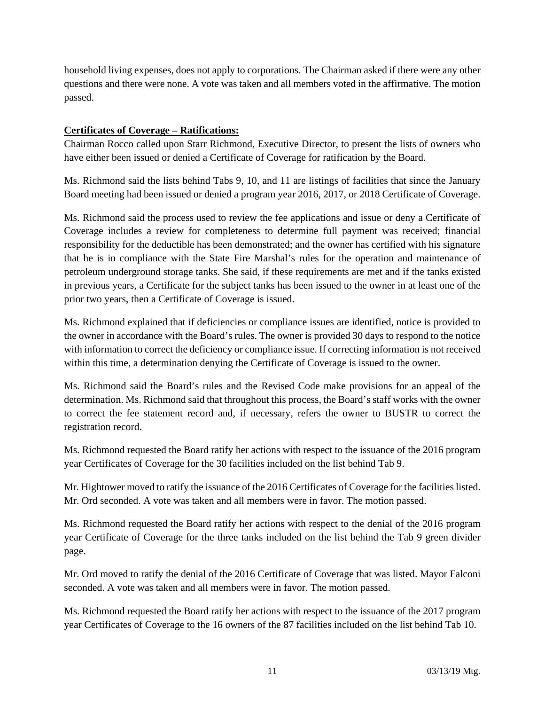household living expenses, does not apply to corporations. The Chairman asked if there were any other questions and there were none. A vote was taken and all members voted in the affirmative. The motion passed.

# **Certificates of Coverage – Ratifications:**

Chairman Rocco called upon Starr Richmond, Executive Director, to present the lists of owners who have either been issued or denied a Certificate of Coverage for ratification by the Board.

Ms. Richmond said the lists behind Tabs 9, 10, and 11 are listings of facilities that since the January Board meeting had been issued or denied a program year 2016, 2017, or 2018 Certificate of Coverage.

Ms. Richmond said the process used to review the fee applications and issue or deny a Certificate of Coverage includes a review for completeness to determine full payment was received; financial responsibility for the deductible has been demonstrated; and the owner has certified with his signature that he is in compliance with the State Fire Marshal's rules for the operation and maintenance of petroleum underground storage tanks. She said, if these requirements are met and if the tanks existed in previous years, a Certificate for the subject tanks has been issued to the owner in at least one of the prior two years, then a Certificate of Coverage is issued.

Ms. Richmond explained that if deficiencies or compliance issues are identified, notice is provided to the owner in accordance with the Board's rules. The owner is provided 30 days to respond to the notice with information to correct the deficiency or compliance issue. If correcting information is not received within this time, a determination denying the Certificate of Coverage is issued to the owner.

Ms. Richmond said the Board's rules and the Revised Code make provisions for an appeal of the determination. Ms. Richmond said that throughout this process, the Board's staff works with the owner to correct the fee statement record and, if necessary, refers the owner to BUSTR to correct the registration record.

Ms. Richmond requested the Board ratify her actions with respect to the issuance of the 2016 program year Certificates of Coverage for the 30 facilities included on the list behind Tab 9.

Mr. Hightower moved to ratify the issuance of the 2016 Certificates of Coverage for the facilities listed. Mr. Ord seconded. A vote was taken and all members were in favor. The motion passed.

Ms. Richmond requested the Board ratify her actions with respect to the denial of the 2016 program year Certificate of Coverage for the three tanks included on the list behind the Tab 9 green divider page.

Mr. Ord moved to ratify the denial of the 2016 Certificate of Coverage that was listed. Mayor Falconi seconded. A vote was taken and all members were in favor. The motion passed.

Ms. Richmond requested the Board ratify her actions with respect to the issuance of the 2017 program year Certificates of Coverage to the 16 owners of the 87 facilities included on the list behind Tab 10.